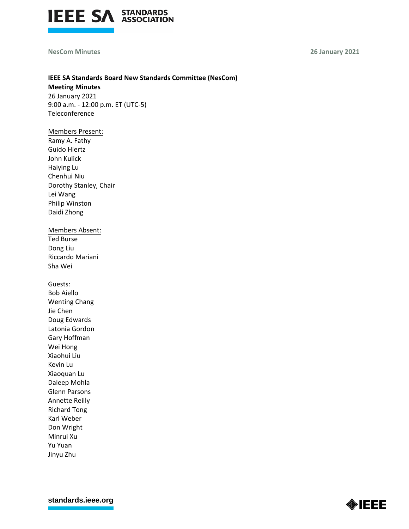

### **NesCom Minutes 26 January 2021**

# **IEEE SA Standards Board New Standards Committee (NesCom)**

**Meeting Minutes** 26 January 2021 9:00 a.m. - 12:00 p.m. ET (UTC-5) Teleconference

# Members Present:

Ramy A. Fathy Guido Hiertz John Kulick Haiying Lu Chenhui Niu Dorothy Stanley, Chair Lei Wang Philip Winston Daidi Zhong

# Members Absent:

Ted Burse Dong Liu Riccardo Mariani Sha Wei

Guests:

Bob Aiello Wenting Chang Jie Chen Doug Edwards Latonia Gordon Gary Hoffman Wei Hong Xiaohui Liu Kevin Lu Xiaoquan Lu Daleep Mohla Glenn Parsons Annette Reilly Richard Tong Karl Weber Don Wright Minrui Xu Yu Yuan Jinyu Zhu

**[standards.ieee.org](http://standards.ieee.org/)**

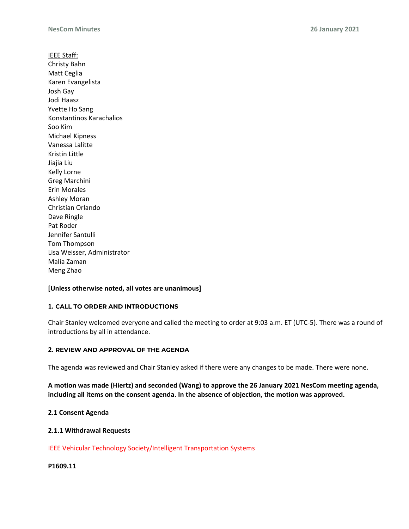IEEE Staff: Christy Bahn Matt Ceglia Karen Evangelista Josh Gay Jodi Haasz Yvette Ho Sang Konstantinos Karachalios Soo Kim Michael Kipness Vanessa Lalitte Kristin Little Jiajia Liu Kelly Lorne Greg Marchini Erin Morales Ashley Moran Christian Orlando Dave Ringle Pat Roder Jennifer Santulli Tom Thompson Lisa Weisser, Administrator Malia Zaman Meng Zhao

# **[Unless otherwise noted, all votes are unanimous]**

### **1. CALL TO ORDER AND INTRODUCTIONS**

Chair Stanley welcomed everyone and called the meeting to order at 9:03 a.m. ET (UTC-5). There was a round of introductions by all in attendance.

### **2. REVIEW AND APPROVAL OF THE AGENDA**

The agenda was reviewed and Chair Stanley asked if there were any changes to be made. There were none.

**A motion was made (Hiertz) and seconded (Wang) to approve the 26 January 2021 NesCom meeting agenda, including all items on the consent agenda. In the absence of objection, the motion was approved.**

### **2.1 Consent Agenda**

### **2.1.1 Withdrawal Requests**

IEEE Vehicular Technology Society/Intelligent Transportation Systems

**P1609.11**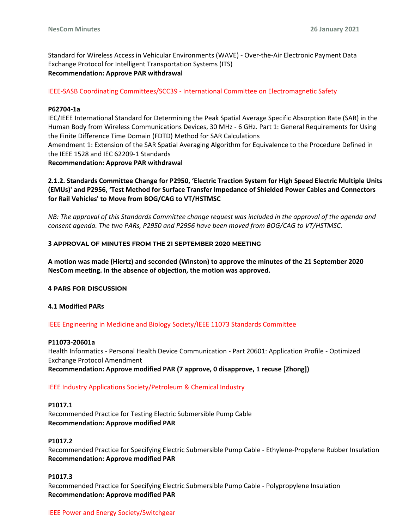Standard for Wireless Access in Vehicular Environments (WAVE) - Over-the-Air Electronic Payment Data Exchange Protocol for Intelligent Transportation Systems (ITS) **Recommendation: Approve PAR withdrawal**

IEEE-SASB Coordinating Committees/SCC39 - International Committee on Electromagnetic Safety

### **P62704-1a**

IEC/IEEE International Standard for Determining the Peak Spatial Average Specific Absorption Rate (SAR) in the Human Body from Wireless Communications Devices, 30 MHz - 6 GHz. Part 1: General Requirements for Using the Finite Difference Time Domain (FDTD) Method for SAR Calculations Amendment 1: Extension of the SAR Spatial Averaging Algorithm for Equivalence to the Procedure Defined in

the IEEE 1528 and IEC 62209-1 Standards

**Recommendation: Approve PAR withdrawal**

**2.1.2. Standards Committee Change for P2950, 'Electric Traction System for High Speed Electric Multiple Units (EMUs)' and P2956, 'Test Method for Surface Transfer Impedance of Shielded Power Cables and Connectors for Rail Vehicles' to Move from BOG/CAG to VT/HSTMSC**

*NB: The approval of this Standards Committee change request was included in the approval of the agenda and consent agenda. The two PARs, P2950 and P2956 have been moved from BOG/CAG to VT/HSTMSC.*

### **3 APPROVAL OF MINUTES FROM THE 21 SEPTEMBER 2020 MEETING**

**A motion was made (Hiertz) and seconded (Winston) to approve the minutes of the 21 September 2020 NesCom meeting. In the absence of objection, the motion was approved.**

### **4 PARS FOR DISCUSSION**

### **4.1 Modified PARs**

### IEEE Engineering in Medicine and Biology Society/IEEE 11073 Standards Committee

### **P11073-20601a**

Health Informatics - Personal Health Device Communication - Part 20601: Application Profile - Optimized Exchange Protocol Amendment

**Recommendation: Approve modified PAR (7 approve, 0 disapprove, 1 recuse [Zhong])**

### IEEE Industry Applications Society/Petroleum & Chemical Industry

#### **P1017.1**

Recommended Practice for Testing Electric Submersible Pump Cable **Recommendation: Approve modified PAR**

### **P1017.2**

Recommended Practice for Specifying Electric Submersible Pump Cable - Ethylene-Propylene Rubber Insulation **Recommendation: Approve modified PAR**

### **P1017.3**

Recommended Practice for Specifying Electric Submersible Pump Cable - Polypropylene Insulation **Recommendation: Approve modified PAR**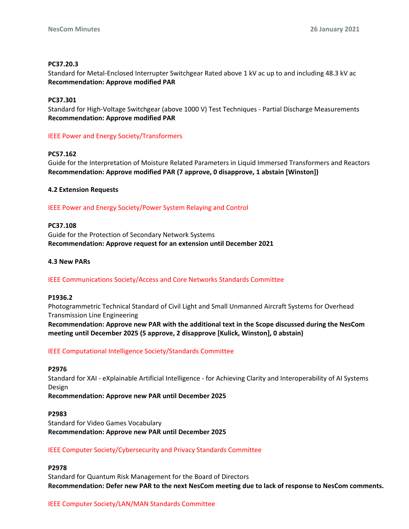### **PC37.20.3**

Standard for Metal-Enclosed Interrupter Switchgear Rated above 1 kV ac up to and including 48.3 kV ac **Recommendation: Approve modified PAR**

### **PC37.301**

Standard for High-Voltage Switchgear (above 1000 V) Test Techniques - Partial Discharge Measurements **Recommendation: Approve modified PAR**

# IEEE Power and Energy Society/Transformers

### **PC57.162**

Guide for the Interpretation of Moisture Related Parameters in Liquid Immersed Transformers and Reactors **Recommendation: Approve modified PAR (7 approve, 0 disapprove, 1 abstain [Winston])**

### **4.2 Extension Requests**

### IEEE Power and Energy Society/Power System Relaying and Control

### **PC37.108**

Guide for the Protection of Secondary Network Systems **Recommendation: Approve request for an extension until December 2021**

### **4.3 New PARs**

# IEEE Communications Society/Access and Core Networks Standards Committee

### **P1936.2**

Photogrammetric Technical Standard of Civil Light and Small Unmanned Aircraft Systems for Overhead Transmission Line Engineering **Recommendation: Approve new PAR with the additional text in the Scope discussed during the NesCom meeting until December 2025 (5 approve, 2 disapprove [Kulick, Winston], 0 abstain)**

### IEEE Computational Intelligence Society/Standards Committee

### **P2976**

Standard for XAI - eXplainable Artificial Intelligence - for Achieving Clarity and Interoperability of AI Systems Design

**Recommendation: Approve new PAR until December 2025**

# **P2983** Standard for Video Games Vocabulary **Recommendation: Approve new PAR until December 2025**

# IEEE Computer Society/Cybersecurity and Privacy Standards Committee

# **P2978**

Standard for Quantum Risk Management for the Board of Directors **Recommendation: Defer new PAR to the next NesCom meeting due to lack of response to NesCom comments.**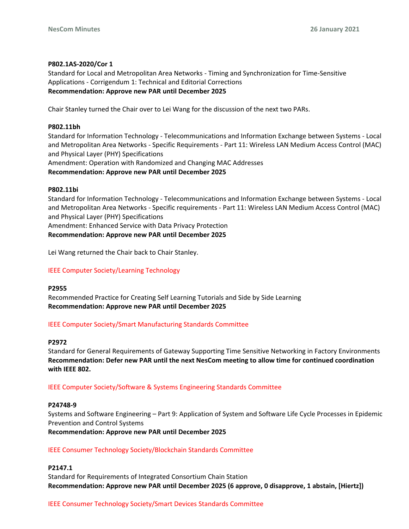### **P802.1AS-2020/Cor 1**

Standard for Local and Metropolitan Area Networks - Timing and Synchronization for Time-Sensitive Applications - Corrigendum 1: Technical and Editorial Corrections **Recommendation: Approve new PAR until December 2025**

Chair Stanley turned the Chair over to Lei Wang for the discussion of the next two PARs.

### **P802.11bh**

Standard for Information Technology - Telecommunications and Information Exchange between Systems - Local and Metropolitan Area Networks - Specific Requirements - Part 11: Wireless LAN Medium Access Control (MAC) and Physical Layer (PHY) Specifications

Amendment: Operation with Randomized and Changing MAC Addresses

### **Recommendation: Approve new PAR until December 2025**

### **P802.11bi**

Standard for Information Technology - Telecommunications and Information Exchange between Systems - Local and Metropolitan Area Networks - Specific requirements - Part 11: Wireless LAN Medium Access Control (MAC) and Physical Layer (PHY) Specifications

Amendment: Enhanced Service with Data Privacy Protection

**Recommendation: Approve new PAR until December 2025**

Lei Wang returned the Chair back to Chair Stanley.

# IEEE Computer Society/Learning Technology

### **P2955**

Recommended Practice for Creating Self Learning Tutorials and Side by Side Learning **Recommendation: Approve new PAR until December 2025**

### IEEE Computer Society/Smart Manufacturing Standards Committee

### **P2972**

Standard for General Requirements of Gateway Supporting Time Sensitive Networking in Factory Environments **Recommendation: Defer new PAR until the next NesCom meeting to allow time for continued coordination with IEEE 802.**

### IEEE Computer Society/Software & Systems Engineering Standards Committee

### **P24748-9**

Systems and Software Engineering – Part 9: Application of System and Software Life Cycle Processes in Epidemic Prevention and Control Systems

**Recommendation: Approve new PAR until December 2025**

### IEEE Consumer Technology Society/Blockchain Standards Committee

# **P2147.1**

Standard for Requirements of Integrated Consortium Chain Station **Recommendation: Approve new PAR until December 2025 (6 approve, 0 disapprove, 1 abstain, [Hiertz])**

### IEEE Consumer Technology Society/Smart Devices Standards Committee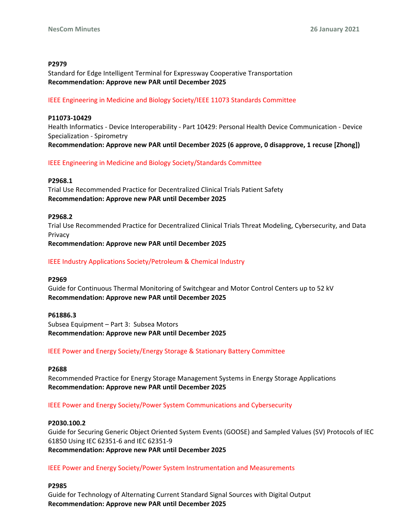### **P2979**

Standard for Edge Intelligent Terminal for Expressway Cooperative Transportation **Recommendation: Approve new PAR until December 2025**

### IEEE Engineering in Medicine and Biology Society/IEEE 11073 Standards Committee

#### **P11073-10429**

Health Informatics - Device Interoperability - Part 10429: Personal Health Device Communication - Device Specialization - Spirometry **Recommendation: Approve new PAR until December 2025 (6 approve, 0 disapprove, 1 recuse [Zhong])**

IEEE Engineering in Medicine and Biology Society/Standards Committee

#### **P2968.1**

Trial Use Recommended Practice for Decentralized Clinical Trials Patient Safety **Recommendation: Approve new PAR until December 2025**

#### **P2968.2**

Trial Use Recommended Practice for Decentralized Clinical Trials Threat Modeling, Cybersecurity, and Data Privacy

**Recommendation: Approve new PAR until December 2025**

### IEEE Industry Applications Society/Petroleum & Chemical Industry

#### **P2969**

Guide for Continuous Thermal Monitoring of Switchgear and Motor Control Centers up to 52 kV **Recommendation: Approve new PAR until December 2025**

#### **P61886.3**

Subsea Equipment – Part 3: Subsea Motors **Recommendation: Approve new PAR until December 2025**

### IEEE Power and Energy Society/Energy Storage & Stationary Battery Committee

#### **P2688**

Recommended Practice for Energy Storage Management Systems in Energy Storage Applications **Recommendation: Approve new PAR until December 2025**

### IEEE Power and Energy Society/Power System Communications and Cybersecurity

#### **P2030.100.2**

Guide for Securing Generic Object Oriented System Events (GOOSE) and Sampled Values (SV) Protocols of IEC 61850 Using IEC 62351-6 and IEC 62351-9 **Recommendation: Approve new PAR until December 2025**

### IEEE Power and Energy Society/Power System Instrumentation and Measurements

### **P2985**

Guide for Technology of Alternating Current Standard Signal Sources with Digital Output **Recommendation: Approve new PAR until December 2025**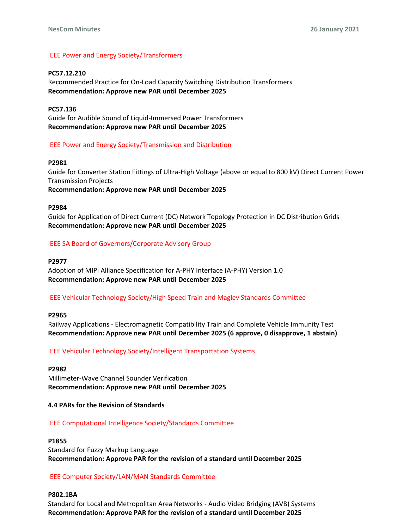# IEEE Power and Energy Society/Transformers

**PC57.12.210** Recommended Practice for On-Load Capacity Switching Distribution Transformers **Recommendation: Approve new PAR until December 2025**

**PC57.136** Guide for Audible Sound of Liquid-Immersed Power Transformers **Recommendation: Approve new PAR until December 2025**

### IEEE Power and Energy Society/Transmission and Distribution

#### **P2981**

Guide for Converter Station Fittings of Ultra-High Voltage (above or equal to 800 kV) Direct Current Power Transmission Projects **Recommendation: Approve new PAR until December 2025**

#### **P2984**

Guide for Application of Direct Current (DC) Network Topology Protection in DC Distribution Grids **Recommendation: Approve new PAR until December 2025**

# IEEE SA Board of Governors/Corporate Advisory Group

#### **P2977**

Adoption of MIPI Alliance Specification for A-PHY Interface (A-PHY) Version 1.0 **Recommendation: Approve new PAR until December 2025**

### IEEE Vehicular Technology Society/High Speed Train and Maglev Standards Committee

### **P2965**

Railway Applications - Electromagnetic Compatibility Train and Complete Vehicle Immunity Test **Recommendation: Approve new PAR until December 2025 (6 approve, 0 disapprove, 1 abstain)**

#### IEEE Vehicular Technology Society/Intelligent Transportation Systems

### **P2982**

Millimeter-Wave Channel Sounder Verification **Recommendation: Approve new PAR until December 2025**

#### **4.4 PARs for the Revision of Standards**

#### IEEE Computational Intelligence Society/Standards Committee

#### **P1855**

Standard for Fuzzy Markup Language **Recommendation: Approve PAR for the revision of a standard until December 2025**

#### IEEE Computer Society/LAN/MAN Standards Committee

### **P802.1BA**

Standard for Local and Metropolitan Area Networks - Audio Video Bridging (AVB) Systems **Recommendation: Approve PAR for the revision of a standard until December 2025**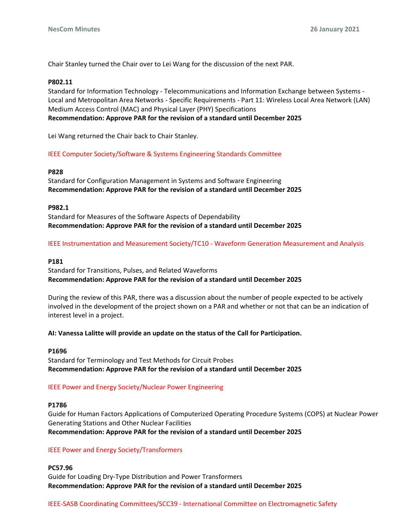Chair Stanley turned the Chair over to Lei Wang for the discussion of the next PAR.

### **P802.11**

Standard for Information Technology - Telecommunications and Information Exchange between Systems - Local and Metropolitan Area Networks - Specific Requirements - Part 11: Wireless Local Area Network (LAN) Medium Access Control (MAC) and Physical Layer (PHY) Specifications **Recommendation: Approve PAR for the revision of a standard until December 2025**

Lei Wang returned the Chair back to Chair Stanley.

### IEEE Computer Society/Software & Systems Engineering Standards Committee

### **P828**

Standard for Configuration Management in Systems and Software Engineering **Recommendation: Approve PAR for the revision of a standard until December 2025**

### **P982.1**

Standard for Measures of the Software Aspects of Dependability **Recommendation: Approve PAR for the revision of a standard until December 2025**

### IEEE Instrumentation and Measurement Society/TC10 - Waveform Generation Measurement and Analysis

### **P181**

Standard for Transitions, Pulses, and Related Waveforms **Recommendation: Approve PAR for the revision of a standard until December 2025**

During the review of this PAR, there was a discussion about the number of people expected to be actively involved in the development of the project shown on a PAR and whether or not that can be an indication of interest level in a project.

### **AI: Vanessa Lalitte will provide an update on the status of the Call for Participation.**

### **P1696**

Standard for Terminology and Test Methods for Circuit Probes **Recommendation: Approve PAR for the revision of a standard until December 2025**

# IEEE Power and Energy Society/Nuclear Power Engineering

### **P1786**

Guide for Human Factors Applications of Computerized Operating Procedure Systems (COPS) at Nuclear Power Generating Stations and Other Nuclear Facilities **Recommendation: Approve PAR for the revision of a standard until December 2025**

# IEEE Power and Energy Society/Transformers

**PC57.96** Guide for Loading Dry-Type Distribution and Power Transformers **Recommendation: Approve PAR for the revision of a standard until December 2025**

IEEE-SASB Coordinating Committees/SCC39 - International Committee on Electromagnetic Safety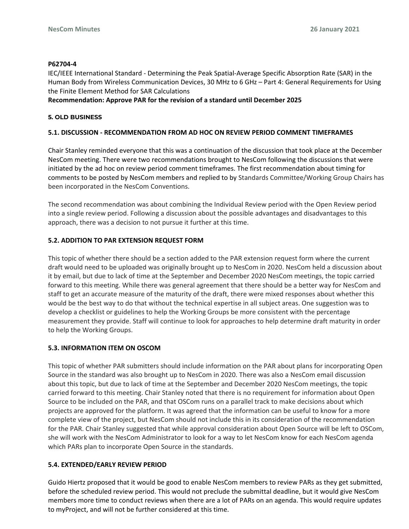### **P62704-4**

IEC/IEEE International Standard - Determining the Peak Spatial-Average Specific Absorption Rate (SAR) in the Human Body from Wireless Communication Devices, 30 MHz to 6 GHz – Part 4: General Requirements for Using the Finite Element Method for SAR Calculations

### **Recommendation: Approve PAR for the revision of a standard until December 2025**

### **5. OLD BUSINESS**

# **5.1. DISCUSSION - RECOMMENDATION FROM AD HOC ON REVIEW PERIOD COMMENT TIMEFRAMES**

Chair Stanley reminded everyone that this was a continuation of the discussion that took place at the December NesCom meeting. There were two recommendations brought to NesCom following the discussions that were initiated by the ad hoc on review period comment timeframes. The first recommendation about timing for comments to be posted by NesCom members and replied to by Standards Committee/Working Group Chairs has been incorporated in the NesCom Conventions.

The second recommendation was about combining the Individual Review period with the Open Review period into a single review period. Following a discussion about the possible advantages and disadvantages to this approach, there was a decision to not pursue it further at this time.

# **5.2. ADDITION TO PAR EXTENSION REQUEST FORM**

This topic of whether there should be a section added to the PAR extension request form where the current draft would need to be uploaded was originally brought up to NesCom in 2020. NesCom held a discussion about it by email, but due to lack of time at the September and December 2020 NesCom meetings, the topic carried forward to this meeting. While there was general agreement that there should be a better way for NesCom and staff to get an accurate measure of the maturity of the draft, there were mixed responses about whether this would be the best way to do that without the technical expertise in all subject areas. One suggestion was to develop a checklist or guidelines to help the Working Groups be more consistent with the percentage measurement they provide. Staff will continue to look for approaches to help determine draft maturity in order to help the Working Groups.

### **5.3. INFORMATION ITEM ON OSCOM**

This topic of whether PAR submitters should include information on the PAR about plans for incorporating Open Source in the standard was also brought up to NesCom in 2020. There was also a NesCom email discussion about this topic, but due to lack of time at the September and December 2020 NesCom meetings, the topic carried forward to this meeting. Chair Stanley noted that there is no requirement for information about Open Source to be included on the PAR, and that OSCom runs on a parallel track to make decisions about which projects are approved for the platform. It was agreed that the information can be useful to know for a more complete view of the project, but NesCom should not include this in its consideration of the recommendation for the PAR. Chair Stanley suggested that while approval consideration about Open Source will be left to OSCom, she will work with the NesCom Administrator to look for a way to let NesCom know for each NesCom agenda which PARs plan to incorporate Open Source in the standards.

### **5.4. EXTENDED/EARLY REVIEW PERIOD**

Guido Hiertz proposed that it would be good to enable NesCom members to review PARs as they get submitted, before the scheduled review period. This would not preclude the submittal deadline, but it would give NesCom members more time to conduct reviews when there are a lot of PARs on an agenda. This would require updates to myProject, and will not be further considered at this time.